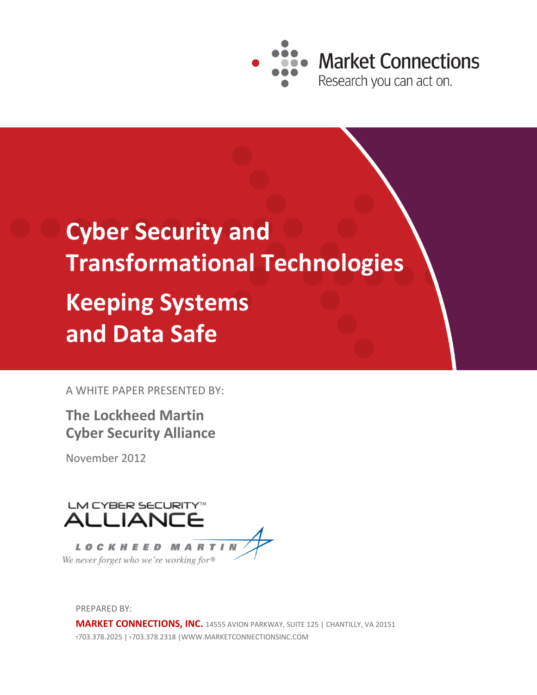

# **Cyber Security and Transformational Technologies Keeping Systems and Data Safe**

A WHITE PAPER PRESENTED BY:

## **The Lockheed Martin Cyber Security Alliance**

November 2012



PREPARED BY:

**MARKET CONNECTIONS, INC.** 14555 AVION PARKWAY, SUITE 125 | CHANTILLY, VA 20151 <sup>T</sup>703.378.2025 | F703.378.2318 |WWW.MARKETCONNECTIONSINC.COM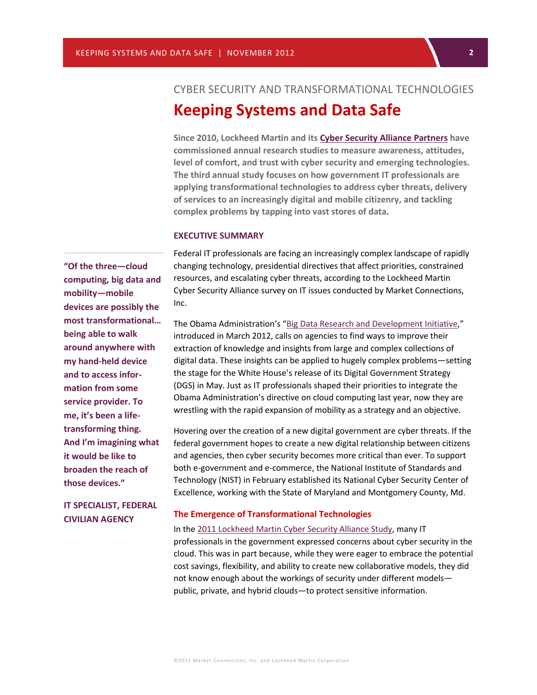## **2** CYBER SECURITY AND TRANSFORMATIONAL TECHNOLOGIES **Keeping Systems and Data Safe**

**Since 2010, Lockheed Martin and its [Cyber Security Alliance](http://www.lockheedmartin.com/us/what-we-do/information-technology/cyber-security/cyber-security-alliance.html) Partners have commissioned annual research studies to measure awareness, attitudes, level of comfort, and trust with cyber security and emerging technologies. The third annual study focuses on how government IT professionals are applying transformational technologies to address cyber threats, delivery of services to an increasingly digital and mobile citizenry, and tackling complex problems by tapping into vast stores of data.**

#### **EXECUTIVE SUMMARY**

Federal IT professionals are facing an increasingly complex landscape of rapidly changing technology, presidential directives that affect priorities, constrained resources, and escalating cyber threats, according to the Lockheed Martin Cyber Security Alliance survey on IT issues conducted by Market Connections, Inc.

The Obama Administration's "Big Data Research and [Development](http://www.whitehouse.gov/sites/default/files/microsites/ostp/big_data_press_release_final_2.pdf) Initiative," introduced in March 2012, calls on agencies to find ways to improve their extraction of knowledge and insights from large and complex collections of digital data. These insights can be applied to hugely complex problems—setting the stage for the White House's release of its Digital Government Strategy (DGS) in May. Just as IT professionals shaped their priorities to integrate the Obama Administration's directive on cloud computing last year, now they are wrestling with the rapid expansion of mobility as a strategy and an objective.

Hovering over the creation of a new digital government are cyber threats. If the federal government hopes to create a new digital relationship between citizens and agencies, then cyber security becomes more critical than ever. To support both e-government and e-commerce, the National Institute of Standards and Technology (NIST) in February established its National Cyber Security Center of Excellence, working with the State of Maryland and Montgomery County, Md.

#### **The Emergence of Transformational Technologies**

In the 2011 [Lockheed Martin Cyber Security Alliance Study,](http://www.lockheedmartin.com/us/news/press-releases/2011/june/LockheedMartinCyberSecuri.html) many IT professionals in the government expressed concerns about cyber security in the cloud. This was in part because, while they were eager to embrace the potential cost savings, flexibility, and ability to create new collaborative models, they did not know enough about the workings of security under different models public, private, and hybrid clouds—to protect sensitive information.

**"Of the three—cloud computing, big data and mobility—mobile devices are possibly the most transformational… being able to walk around anywhere with my hand-held device and to access information from some service provider. To me, it's been a lifetransforming thing. And I'm imagining what it would be like to broaden the reach of those devices."**

**IT SPECIALIST, FEDERAL CIVILIAN AGENCY**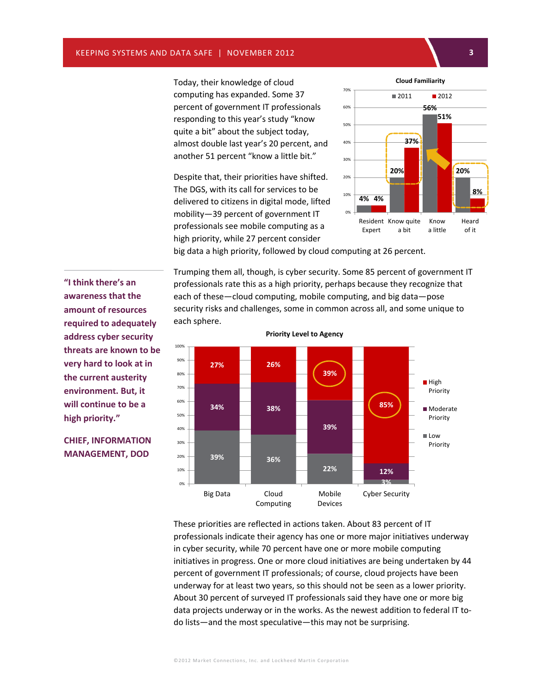Today, their knowledge of cloud computing has expanded. Some 37 percent of government IT professionals responding to this year's study "know quite a bit" about the subject today, almost double last year's 20 percent, and another 51 percent "know a little bit."

Despite that, their priorities have shifted. The DGS, with its call for services to be delivered to citizens in digital mode, lifted mobility—39 percent of government IT professionals see mobile computing as a high priority, while 27 percent consider



big data a high priority, followed by cloud computing at 26 percent.

Trumping them all, though, is cyber security. Some 85 percent of government IT professionals rate this as a high priority, perhaps because they recognize that each of these—cloud computing, mobile computing, and big data—pose security risks and challenges, some in common across all, and some unique to each sphere.



**Priority Level to Agency**

These priorities are reflected in actions taken. About 83 percent of IT professionals indicate their agency has one or more major initiatives underway in cyber security, while 70 percent have one or more mobile computing initiatives in progress. One or more cloud initiatives are being undertaken by 44 percent of government IT professionals; of course, cloud projects have been underway for at least two years, so this should not be seen as a lower priority. About 30 percent of surveyed IT professionals said they have one or more big data projects underway or in the works. As the newest addition to federal IT todo lists—and the most speculative—this may not be surprising.

**awareness that the amount of resources required to adequately address cyber security threats are known to be very hard to look at in the current austerity environment. But, it will continue to be a high priority."**

**"I think there's an** 

**CHIEF, INFORMATION**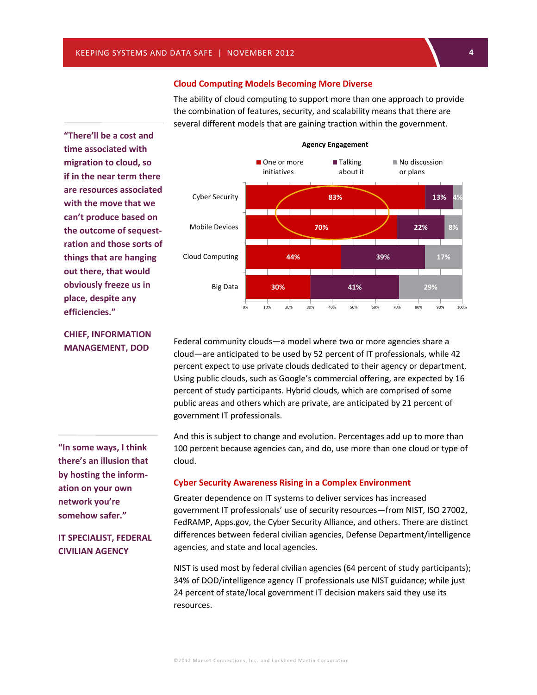The ability of cloud computing to support more than one approach to provide the combination of features, security, and scalability means that there are several different models that are gaining traction within the government.

**"There'll be a cost and time associated with migration to cloud, so if in the near term there are resources associated with the move that we can't produce based on the outcome of sequestration and those sorts of things that are hanging out there, that would obviously freeze us in place, despite any efficiencies."**



**CHIEF, INFORMATION MANAGEMENT, DOD**

**"In some ways, I think there's an illusion that by hosting the information on your own network you're somehow safer."**

### **IT SPECIALIST, FEDERAL CIVILIAN AGENCY**

Federal community clouds—a model where two or more agencies share a cloud—are anticipated to be used by 52 percent of IT professionals, while 42 percent expect to use private clouds dedicated to their agency or department. Using public clouds, such as Google's commercial offering, are expected by 16 percent of study participants. Hybrid clouds, which are comprised of some public areas and others which are private, are anticipated by 21 percent of government IT professionals.

And this is subject to change and evolution. Percentages add up to more than 100 percent because agencies can, and do, use more than one cloud or type of cloud.

#### **Cyber Security Awareness Rising in a Complex Environment**

Greater dependence on IT systems to deliver services has increased government IT professionals' use of security resources—from NIST, ISO 27002, FedRAMP, Apps.gov, the Cyber Security Alliance, and others. There are distinct differences between federal civilian agencies, Defense Department/intelligence agencies, and state and local agencies.

NIST is used most by federal civilian agencies (64 percent of study participants); 34% of DOD/intelligence agency IT professionals use NIST guidance; while just 24 percent of state/local government IT decision makers said they use its resources.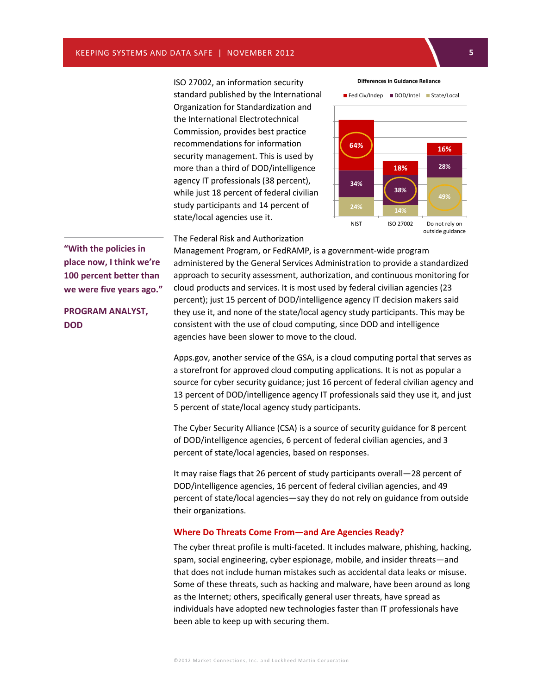ISO 27002, an information security standard published by the International Organization for Standardization and the International Electrotechnical Commission, provides best practice recommendations for information security management. This is used by more than a third of DOD/intelligence agency IT professionals (38 percent), while just 18 percent of federal civilian study participants and 14 percent of state/local agencies use it.





The Federal Risk and Authorization

Management Program, or FedRAMP, is a government-wide program administered by the General Services Administration to provide a standardized approach to security assessment, authorization, and continuous monitoring for cloud products and services. It is most used by federal civilian agencies (23 percent); just 15 percent of DOD/intelligence agency IT decision makers said they use it, and none of the state/local agency study participants. This may be consistent with the use of cloud computing, since DOD and intelligence agencies have been slower to move to the cloud.

Apps.gov, another service of the GSA, is a cloud computing portal that serves as a storefront for approved cloud computing applications. It is not as popular a source for cyber security guidance; just 16 percent of federal civilian agency and 13 percent of DOD/intelligence agency IT professionals said they use it, and just 5 percent of state/local agency study participants.

The Cyber Security Alliance (CSA) is a source of security guidance for 8 percent of DOD/intelligence agencies, 6 percent of federal civilian agencies, and 3 percent of state/local agencies, based on responses.

It may raise flags that 26 percent of study participants overall—28 percent of DOD/intelligence agencies, 16 percent of federal civilian agencies, and 49 percent of state/local agencies—say they do not rely on guidance from outside their organizations.

#### **Where Do Threats Come From—and Are Agencies Ready?**

The cyber threat profile is multi-faceted. It includes malware, phishing, hacking, spam, social engineering, cyber espionage, mobile, and insider threats—and that does not include human mistakes such as accidental data leaks or misuse. Some of these threats, such as hacking and malware, have been around as long as the Internet; others, specifically general user threats, have spread as individuals have adopted new technologies faster than IT professionals have been able to keep up with securing them.

**"With the policies in place now, I think we're 100 percent better than we were five years ago."**

**PROGRAM ANALYST, DOD**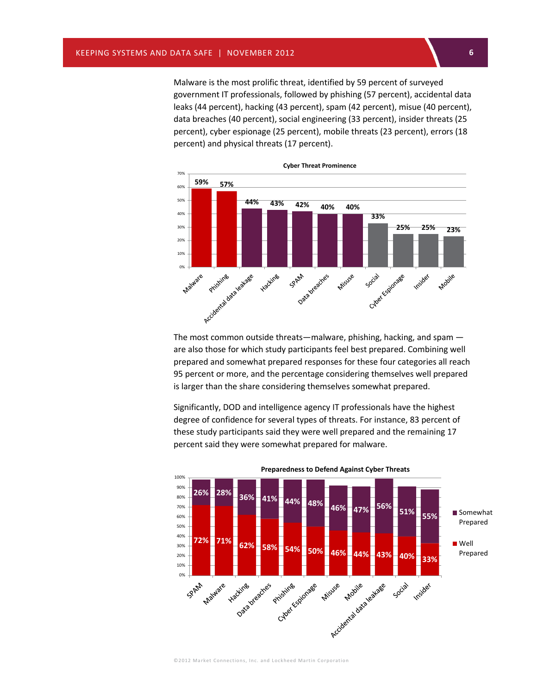Malware is the most prolific threat, identified by 59 percent of surveyed government IT professionals, followed by phishing (57 percent), accidental data leaks (44 percent), hacking (43 percent), spam (42 percent), misue (40 percent), data breaches (40 percent), social engineering (33 percent), insider threats (25 percent), cyber espionage (25 percent), mobile threats (23 percent), errors (18 percent) and physical threats (17 percent).



The most common outside threats—malware, phishing, hacking, and spam are also those for which study participants feel best prepared. Combining well prepared and somewhat prepared responses for these four categories all reach 95 percent or more, and the percentage considering themselves well prepared is larger than the share considering themselves somewhat prepared.

Significantly, DOD and intelligence agency IT professionals have the highest degree of confidence for several types of threats. For instance, 83 percent of these study participants said they were well prepared and the remaining 17 percent said they were somewhat prepared for malware.



**Preparedness to Defend Against Cyber Threats**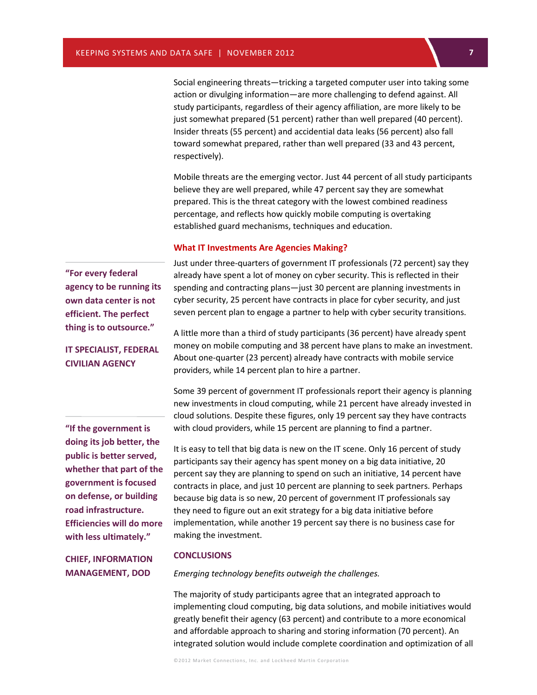**7** Social engineering threats—tricking a targeted computer user into taking some action or divulging information—are more challenging to defend against. All study participants, regardless of their agency affiliation, are more likely to be just somewhat prepared (51 percent) rather than well prepared (40 percent). Insider threats (55 percent) and accidential data leaks (56 percent) also fall toward somewhat prepared, rather than well prepared (33 and 43 percent, respectively).

Mobile threats are the emerging vector. Just 44 percent of all study participants believe they are well prepared, while 47 percent say they are somewhat prepared. This is the threat category with the lowest combined readiness percentage, and reflects how quickly mobile computing is overtaking established guard mechanisms, techniques and education.

#### **What IT Investments Are Agencies Making?**

Just under three-quarters of government IT professionals (72 percent) say they already have spent a lot of money on cyber security. This is reflected in their spending and contracting plans—just 30 percent are planning investments in cyber security, 25 percent have contracts in place for cyber security, and just seven percent plan to engage a partner to help with cyber security transitions.

**IT SPECIALIST, FEDERAL CIVILIAN AGENCY**

**agency to be running its own data center is not efficient. The perfect thing is to outsource."**

**"For every federal** 

**"If the government is doing its job better, the public is better served, whether that part of the government is focused on defense, or building road infrastructure. Efficiencies will do more with less ultimately."**

A little more than a third of study participants (36 percent) have already spent money on mobile computing and 38 percent have plans to make an investment. About one-quarter (23 percent) already have contracts with mobile service providers, while 14 percent plan to hire a partner.

Some 39 percent of government IT professionals report their agency is planning new investments in cloud computing, while 21 percent have already invested in cloud solutions. Despite these figures, only 19 percent say they have contracts with cloud providers, while 15 percent are planning to find a partner.

It is easy to tell that big data is new on the IT scene. Only 16 percent of study participants say their agency has spent money on a big data initiative, 20 percent say they are planning to spend on such an initiative, 14 percent have contracts in place, and just 10 percent are planning to seek partners. Perhaps because big data is so new, 20 percent of government IT professionals say they need to figure out an exit strategy for a big data initiative before implementation, while another 19 percent say there is no business case for making the investment.

#### **CHIEF, INFORMATION MANAGEMENT, DOD**

#### **CONCLUSIONS**

*Emerging technology benefits outweigh the challenges.*

The majority of study participants agree that an integrated approach to implementing cloud computing, big data solutions, and mobile initiatives would greatly benefit their agency (63 percent) and contribute to a more economical and affordable approach to sharing and storing information (70 percent). An integrated solution would include complete coordination and optimization of all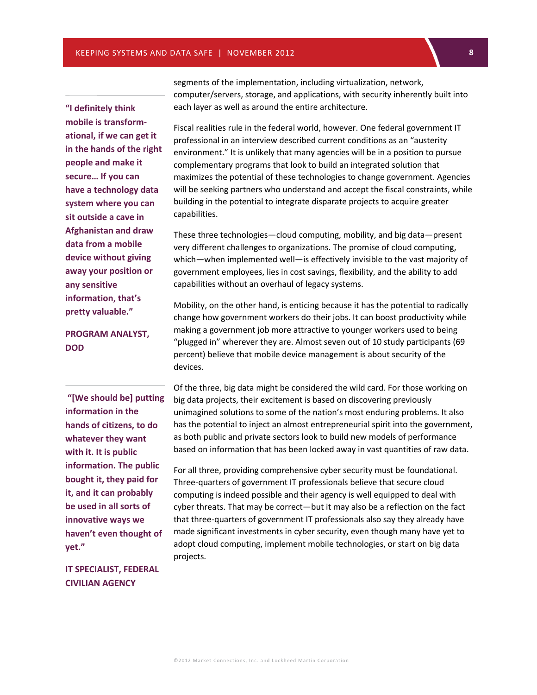KEEPING SYSTEMS AND DATA SAFE | NOVEMBER 2012 **8**

**"I definitely think mobile is transformational, if we can get it in the hands of the right people and make it secure… If you can have a technology data system where you can sit outside a cave in Afghanistan and draw data from a mobile device without giving away your position or any sensitive information, that's pretty valuable."**

**PROGRAM ANALYST, DOD**

**"[We should be] putting information in the hands of citizens, to do whatever they want with it. It is public information. The public bought it, they paid for it, and it can probably be used in all sorts of innovative ways we haven't even thought of yet."**

**IT SPECIALIST, FEDERAL CIVILIAN AGENCY**

segments of the implementation, including virtualization, network, computer/servers, storage, and applications, with security inherently built into each layer as well as around the entire architecture.

Fiscal realities rule in the federal world, however. One federal government IT professional in an interview described current conditions as an "austerity environment." It is unlikely that many agencies will be in a position to pursue complementary programs that look to build an integrated solution that maximizes the potential of these technologies to change government. Agencies will be seeking partners who understand and accept the fiscal constraints, while building in the potential to integrate disparate projects to acquire greater capabilities.

These three technologies—cloud computing, mobility, and big data—present very different challenges to organizations. The promise of cloud computing, which—when implemented well—is effectively invisible to the vast majority of government employees, lies in cost savings, flexibility, and the ability to add capabilities without an overhaul of legacy systems.

Mobility, on the other hand, is enticing because it has the potential to radically change how government workers do their jobs. It can boost productivity while making a government job more attractive to younger workers used to being "plugged in" wherever they are. Almost seven out of 10 study participants (69 percent) believe that mobile device management is about security of the devices.

Of the three, big data might be considered the wild card. For those working on big data projects, their excitement is based on discovering previously e unimagined solutions to some of the nation's most enduring problems. It also has the potential to inject an almost entrepreneurial spirit into the government, as both public and private sectors look to build new models of performance based on information that has been locked away in vast quantities of raw data.

For all three, providing comprehensive cyber security must be foundational. Three-quarters of government IT professionals believe that secure cloud computing is indeed possible and their agency is well equipped to deal with c cyber threats. That may be correct—but it may also be a reflection on the fact that three-quarters of government IT professionals also say they already have a made significant investments in cyber security, even though many have yet to l adopt cloud computing, implement mobile technologies, or start on big data i projects. s

©2012 Ma rket Connections, Inc. and Loc kheed Martin Corporation f